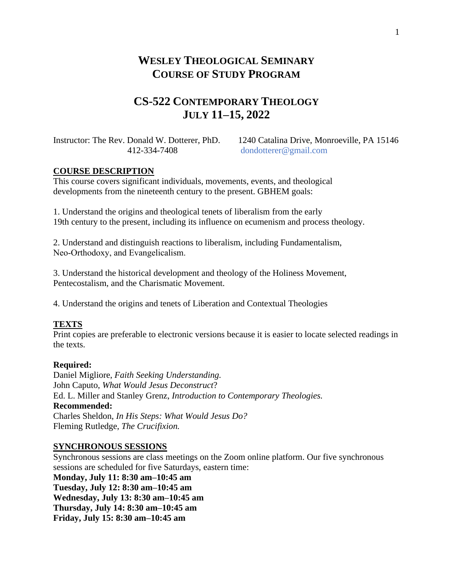# **WESLEY THEOLOGICAL SEMINARY COURSE OF STUDY PROGRAM**

# **CS-522 CONTEMPORARY THEOLOGY JULY 11–15, 2022**

Instructor: The Rev. Donald W. Dotterer, PhD. 1240 Catalina Drive, Monroeville, PA 15146 412-334-7408 dondottere[r@gmail.com](mailto:jglepp@gmail.com)

### **COURSE DESCRIPTION**

This course covers significant individuals, movements, events, and theological developments from the nineteenth century to the present. GBHEM goals:

1. Understand the origins and theological tenets of liberalism from the early 19th century to the present, including its influence on ecumenism and process theology.

2. Understand and distinguish reactions to liberalism, including Fundamentalism, Neo‐Orthodoxy, and Evangelicalism.

3. Understand the historical development and theology of the Holiness Movement, Pentecostalism, and the Charismatic Movement.

4. Understand the origins and tenets of Liberation and Contextual Theologies

#### **TEXTS**

Print copies are preferable to electronic versions because it is easier to locate selected readings in the texts.

#### **Required:**

Daniel Migliore, *Faith Seeking Understanding.* John Caputo, *What Would Jesus Deconstruct*? Ed. L. Miller and Stanley Grenz, *Introduction to Contemporary Theologies.* **Recommended:** Charles Sheldon, *In His Steps: What Would Jesus Do?* Fleming Rutledge, *The Crucifixion.*

#### **SYNCHRONOUS SESSIONS**

Synchronous sessions are class meetings on the Zoom online platform. Our five synchronous sessions are scheduled for five Saturdays, eastern time:

**Monday, July 11: 8:30 am–10:45 am Tuesday, July 12: 8:30 am–10:45 am Wednesday, July 13: 8:30 am–10:45 am Thursday, July 14: 8:30 am–10:45 am Friday, July 15: 8:30 am–10:45 am**